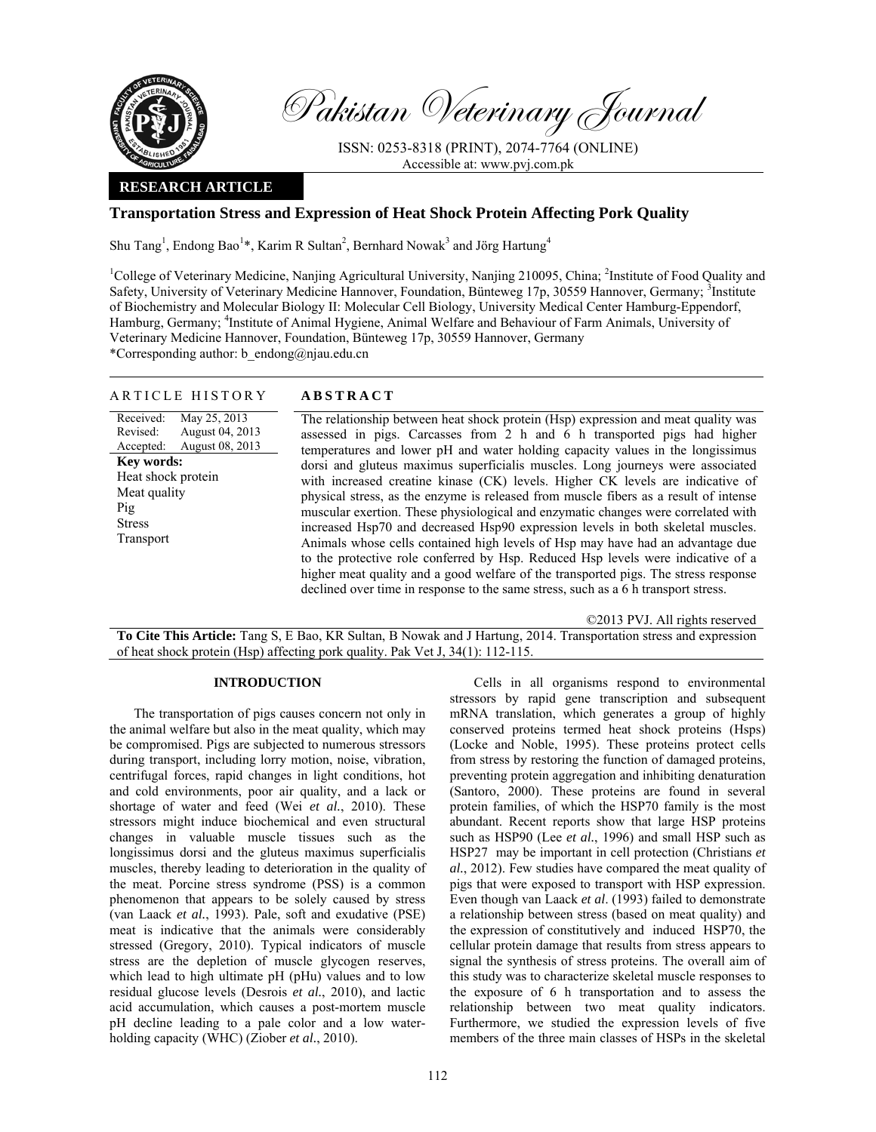

Pakistan Veterinary Journal

ISSN: 0253-8318 (PRINT), 2074-7764 (ONLINE) Accessible at: www.pvj.com.pk

# **RESEARCH ARTICLE**

# **Transportation Stress and Expression of Heat Shock Protein Affecting Pork Quality**

Shu Tang<sup>1</sup>, Endong Bao<sup>1\*</sup>, Karim R Sultan<sup>2</sup>, Bernhard Nowak<sup>3</sup> and Jörg Hartung<sup>4</sup>

<sup>1</sup>College of Veterinary Medicine, Nanjing Agricultural University, Nanjing 210095, China; <sup>2</sup>Institute of Food Quality and Safety, University of Veterinary Medicine Hannover, Foundation, Bünteweg 17p, 30559 Hannover, Germany; <sup>3</sup>Institute of Biochemistry and Molecular Biology II: Molecular Cell Biology, University Medical Center Hamburg-Eppendorf, Hamburg, Germany; <sup>4</sup>Institute of Animal Hygiene, Animal Welfare and Behaviour of Farm Animals, University of Veterinary Medicine Hannover, Foundation, Bünteweg 17p, 30559 Hannover, Germany \*Corresponding author: b\_endong@njau.edu.cn

## ARTICLE HISTORY **ABSTRACT**

Received: Revised: Accepted: May 25, 2013 August 04, 2013 August 08, 2013 **Key words:**  Heat shock protein Meat quality Pig Stress Transport

 The relationship between heat shock protein (Hsp) expression and meat quality was assessed in pigs. Carcasses from 2 h and 6 h transported pigs had higher temperatures and lower pH and water holding capacity values in the longissimus dorsi and gluteus maximus superficialis muscles. Long journeys were associated with increased creatine kinase (CK) levels. Higher CK levels are indicative of physical stress, as the enzyme is released from muscle fibers as a result of intense muscular exertion. These physiological and enzymatic changes were correlated with increased Hsp70 and decreased Hsp90 expression levels in both skeletal muscles. Animals whose cells contained high levels of Hsp may have had an advantage due to the protective role conferred by Hsp. Reduced Hsp levels were indicative of a higher meat quality and a good welfare of the transported pigs. The stress response declined over time in response to the same stress, such as a 6 h transport stress.

©2013 PVJ. All rights reserved

**To Cite This Article:** Tang S, E Bao, KR Sultan, B Nowak and J Hartung, 2014. Transportation stress and expression of heat shock protein (Hsp) affecting pork quality. Pak Vet J, 34(1): 112-115.

# **INTRODUCTION**

The transportation of pigs causes concern not only in the animal welfare but also in the meat quality, which may be compromised. Pigs are subjected to numerous stressors during transport, including lorry motion, noise, vibration, centrifugal forces, rapid changes in light conditions, hot and cold environments, poor air quality, and a lack or shortage of water and feed (Wei *et al.*, 2010). These stressors might induce biochemical and even structural changes in valuable muscle tissues such as the longissimus dorsi and the gluteus maximus superficialis muscles, thereby leading to deterioration in the quality of the meat. Porcine stress syndrome (PSS) is a common phenomenon that appears to be solely caused by stress (van Laack *et al.*, 1993). Pale, soft and exudative (PSE) meat is indicative that the animals were considerably stressed (Gregory, 2010). Typical indicators of muscle stress are the depletion of muscle glycogen reserves, which lead to high ultimate pH (pHu) values and to low residual glucose levels (Desrois *et al.*, 2010), and lactic acid accumulation, which causes a post-mortem muscle pH decline leading to a pale color and a low waterholding capacity (WHC) (Ziober *et al.*, 2010).

Cells in all organisms respond to environmental stressors by rapid gene transcription and subsequent mRNA translation, which generates a group of highly conserved proteins termed heat shock proteins (Hsps) (Locke and Noble, 1995). These proteins protect cells from stress by restoring the function of damaged proteins, preventing protein aggregation and inhibiting denaturation (Santoro, 2000). These proteins are found in several protein families, of which the HSP70 family is the most abundant. Recent reports show that large HSP proteins such as HSP90 (Lee *et al.*, 1996) and small HSP such as HSP27 may be important in cell protection (Christians *et al.*, 2012). Few studies have compared the meat quality of pigs that were exposed to transport with HSP expression. Even though van Laack *et al*. (1993) failed to demonstrate a relationship between stress (based on meat quality) and the expression of constitutively and induced HSP70, the cellular protein damage that results from stress appears to signal the synthesis of stress proteins. The overall aim of this study was to characterize skeletal muscle responses to the exposure of 6 h transportation and to assess the relationship between two meat quality indicators. Furthermore, we studied the expression levels of five members of the three main classes of HSPs in the skeletal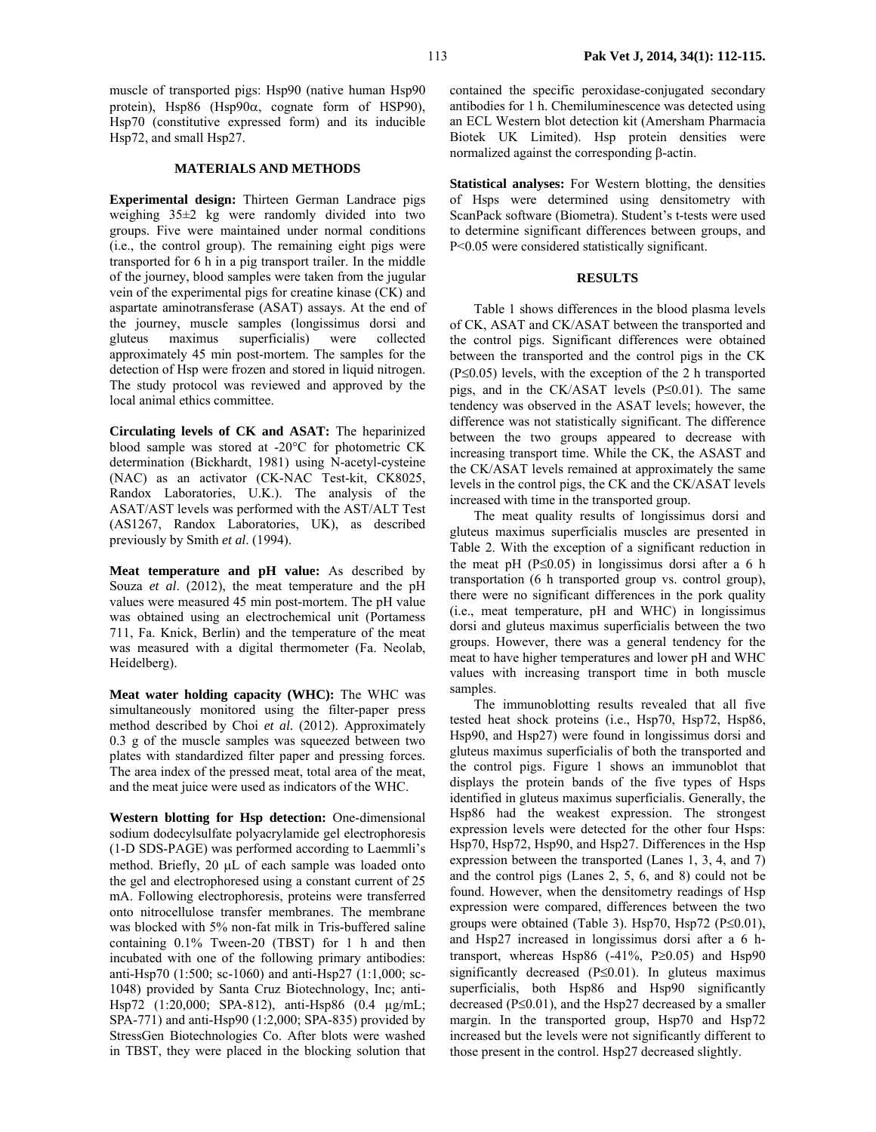muscle of transported pigs: Hsp90 (native human Hsp90 protein), Hsp86 (Hsp $90\alpha$ , cognate form of HSP90), Hsp70 (constitutive expressed form) and its inducible Hsp72, and small Hsp27.

## **MATERIALS AND METHODS**

**Experimental design:** Thirteen German Landrace pigs weighing 35±2 kg were randomly divided into two groups. Five were maintained under normal conditions (i.e., the control group). The remaining eight pigs were transported for 6 h in a pig transport trailer. In the middle of the journey, blood samples were taken from the jugular vein of the experimental pigs for creatine kinase (CK) and aspartate aminotransferase (ASAT) assays. At the end of the journey, muscle samples (longissimus dorsi and gluteus maximus superficialis) were collected approximately 45 min post-mortem. The samples for the detection of Hsp were frozen and stored in liquid nitrogen. The study protocol was reviewed and approved by the local animal ethics committee.

**Circulating levels of CK and ASAT:** The heparinized blood sample was stored at -20°C for photometric CK determination (Bickhardt, 1981) using N-acetyl-cysteine (NAC) as an activator (CK-NAC Test-kit, CK8025, Randox Laboratories, U.K.). The analysis of the ASAT/AST levels was performed with the AST/ALT Test (AS1267, Randox Laboratories, UK), as described previously by Smith *et al*. (1994).

**Meat temperature and pH value:** As described by Souza *et al*. (2012), the meat temperature and the pH values were measured 45 min post-mortem. The pH value was obtained using an electrochemical unit (Portamess 711, Fa. Knick, Berlin) and the temperature of the meat was measured with a digital thermometer (Fa. Neolab, Heidelberg).

**Meat water holding capacity (WHC):** The WHC was simultaneously monitored using the filter-paper press method described by Choi *et al.* (2012). Approximately 0.3 g of the muscle samples was squeezed between two plates with standardized filter paper and pressing forces. The area index of the pressed meat, total area of the meat, and the meat juice were used as indicators of the WHC.

**Western blotting for Hsp detection:** One-dimensional sodium dodecylsulfate polyacrylamide gel electrophoresis (1-D SDS-PAGE) was performed according to Laemmli's method. Briefly, 20 µL of each sample was loaded onto the gel and electrophoresed using a constant current of 25 mA. Following electrophoresis, proteins were transferred onto nitrocellulose transfer membranes. The membrane was blocked with 5% non-fat milk in Tris-buffered saline containing 0.1% Tween-20 (TBST) for 1 h and then incubated with one of the following primary antibodies: anti-Hsp70 (1:500; sc-1060) and anti-Hsp27 (1:1,000; sc-1048) provided by Santa Cruz Biotechnology, Inc; anti-Hsp72 (1:20,000; SPA-812), anti-Hsp86 (0.4 µg/mL; SPA-771) and anti-Hsp90 (1:2,000; SPA-835) provided by StressGen Biotechnologies Co. After blots were washed in TBST, they were placed in the blocking solution that contained the specific peroxidase-conjugated secondary antibodies for 1 h. Chemiluminescence was detected using an ECL Western blot detection kit (Amersham Pharmacia Biotek UK Limited). Hsp protein densities were normalized against the corresponding β-actin.

**Statistical analyses:** For Western blotting, the densities of Hsps were determined using densitometry with ScanPack software (Biometra). Student's t*-*tests were used to determine significant differences between groups, and P<0.05 were considered statistically significant.

# **RESULTS**

Table 1 shows differences in the blood plasma levels of CK, ASAT and CK/ASAT between the transported and the control pigs. Significant differences were obtained between the transported and the control pigs in the CK (P≤0.05) levels, with the exception of the 2 h transported pigs, and in the CK/ASAT levels (P≤0.01). The same tendency was observed in the ASAT levels; however, the difference was not statistically significant. The difference between the two groups appeared to decrease with increasing transport time. While the CK, the ASAST and the CK/ASAT levels remained at approximately the same levels in the control pigs, the CK and the CK/ASAT levels increased with time in the transported group.

The meat quality results of longissimus dorsi and gluteus maximus superficialis muscles are presented in Table 2. With the exception of a significant reduction in the meat pH (P≤0.05) in longissimus dorsi after a 6 h transportation (6 h transported group vs. control group), there were no significant differences in the pork quality (i.e., meat temperature, pH and WHC) in longissimus dorsi and gluteus maximus superficialis between the two groups. However, there was a general tendency for the meat to have higher temperatures and lower pH and WHC values with increasing transport time in both muscle samples.

The immunoblotting results revealed that all five tested heat shock proteins (i.e., Hsp70, Hsp72, Hsp86, Hsp90, and Hsp27) were found in longissimus dorsi and gluteus maximus superficialis of both the transported and the control pigs. Figure 1 shows an immunoblot that displays the protein bands of the five types of Hsps identified in gluteus maximus superficialis. Generally, the Hsp86 had the weakest expression. The strongest expression levels were detected for the other four Hsps: Hsp70, Hsp72, Hsp90, and Hsp27. Differences in the Hsp expression between the transported (Lanes 1, 3, 4, and 7) and the control pigs (Lanes 2, 5, 6, and 8) could not be found. However, when the densitometry readings of Hsp expression were compared, differences between the two groups were obtained (Table 3). Hsp70, Hsp72 ( $P \le 0.01$ ), and Hsp27 increased in longissimus dorsi after a 6 htransport, whereas Hsp86  $(-41\%, P \ge 0.05)$  and Hsp90 significantly decreased (P≤0.01). In gluteus maximus superficialis, both Hsp86 and Hsp90 significantly decreased ( $P \le 0.01$ ), and the Hsp27 decreased by a smaller margin. In the transported group, Hsp70 and Hsp72 increased but the levels were not significantly different to those present in the control. Hsp27 decreased slightly.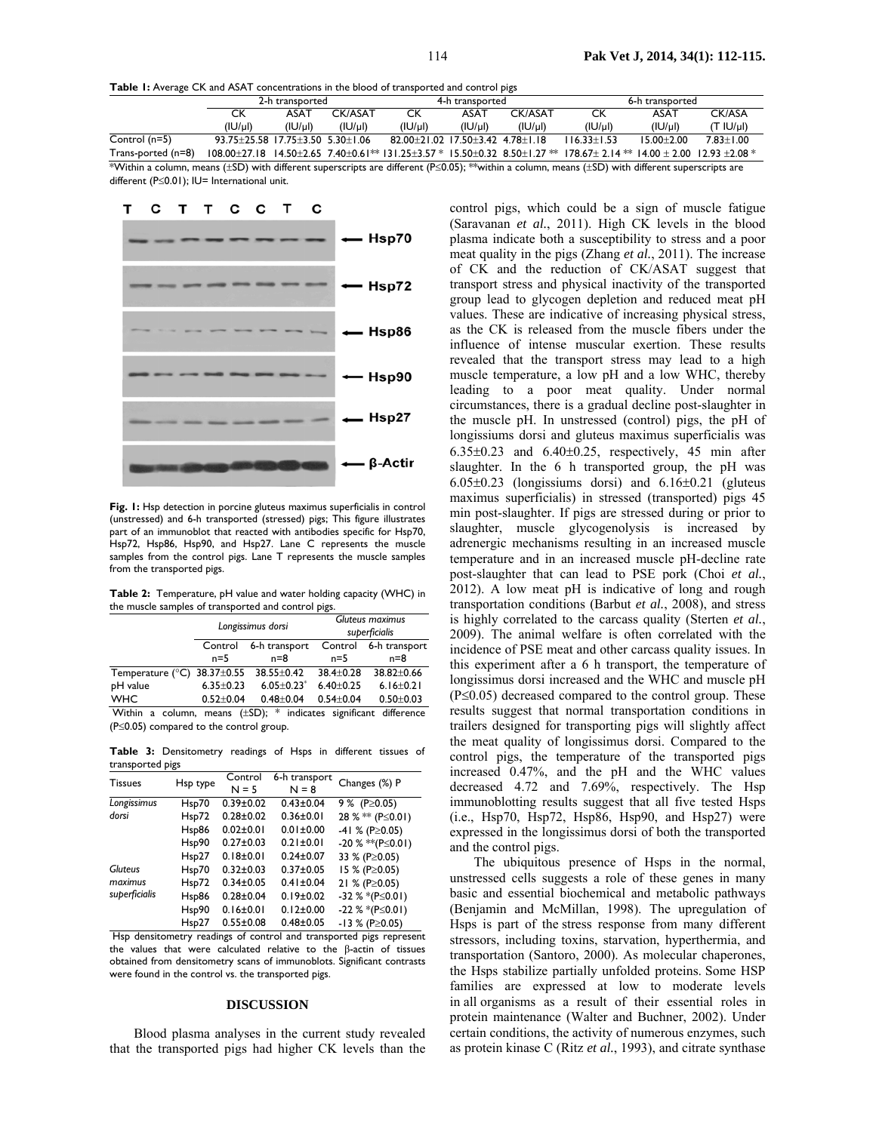**Table 1:** Average CK and ASAT concentrations in the blood of transported and control pigs

| $\sim$                                                                                                                                                   |                                  |         |         |                                       |             |         |                                                                                                                                                           |                |               |
|----------------------------------------------------------------------------------------------------------------------------------------------------------|----------------------------------|---------|---------|---------------------------------------|-------------|---------|-----------------------------------------------------------------------------------------------------------------------------------------------------------|----------------|---------------|
|                                                                                                                                                          | 2-h transported                  |         |         | 4-h transported                       |             |         | 6-h transported                                                                                                                                           |                |               |
|                                                                                                                                                          | CK                               | ASAT    | CK/ASAT | CК                                    | <b>ASAT</b> | CK/ASAT | ск                                                                                                                                                        | <b>ASAT</b>    | CK/ASA        |
|                                                                                                                                                          | (IU/ul)                          | ( U/u ) | ( U/u ) | ( U/u )                               | ( U/u )     | ( U/u ) | ( U/u )                                                                                                                                                   | $( U/\mu )$    | (T IV)        |
| Control $(n=5)$                                                                                                                                          | 93.75+25.58 17.75+3.50 5.30+1.06 |         |         | 82.00 + 21.02.17.50 + 3.42.478 + 1.18 |             |         | $116.33 + 1.53$                                                                                                                                           | $15.00 + 2.00$ | $7.83 + 1.00$ |
| Trans-ported (n=8)                                                                                                                                       |                                  |         |         |                                       |             |         | $108.00\pm 27.18$ $14.50\pm 2.65$ $7.40\pm 0.61**$ $131.25\pm 3.57*$ $15.50\pm 0.32$ $8.50\pm 1.27**$ $178.67\pm 2.14**$ $14.00\pm 2.00$ $12.93\pm 2.08*$ |                |               |
| Within a column means (+SD) with different superscripts are different ( $P\leq 0.05$ ); $**$ within a column means (+SD) with different superscripts are |                                  |         |         |                                       |             |         |                                                                                                                                                           |                |               |

s are different (P≤0.05); \*\*within a column, means (±SD) with different superscripts are different (P≤0.01); IU= International unit.



**Fig. 1:** Hsp detection in porcine gluteus maximus superficialis in control (unstressed) and 6-h transported (stressed) pigs; This figure illustrates part of an immunoblot that reacted with antibodies specific for Hsp70, Hsp72, Hsp86, Hsp90, and Hsp27. Lane C represents the muscle samples from the control pigs. Lane T represents the muscle samples from the transported pigs.

**Table 2:** Temperature, pH value and water holding capacity (WHC) in the muscle samples of transported and control pigs.

|                                             |                 | Longissimus dorsi                                               | Gluteus maximus<br>superficialis |                 |  |  |
|---------------------------------------------|-----------------|-----------------------------------------------------------------|----------------------------------|-----------------|--|--|
|                                             | Control         | 6-h transport                                                   | Control                          | 6-h transport   |  |  |
|                                             | $n=5$           | $n = 8$                                                         | $n=5$                            | $n = 8$         |  |  |
| Temperature ( $\degree$ C) 38.37 $\pm$ 0.55 |                 | $38.55 \pm 0.42$                                                | 38.4±0.28                        | 38.82±0.66      |  |  |
| pH value                                    | $6.35 \pm 0.23$ | $6.05 \pm 0.23$ <sup>*</sup>                                    | $6.40 \pm 0.25$                  | $6.16 \pm 0.21$ |  |  |
| <b>WHC</b>                                  | $0.52 \pm 0.04$ | $0.48 + 0.04$                                                   | $0.54 \pm 0.04$                  | $0.50 + 0.03$   |  |  |
| Within                                      |                 | a column, means $(\pm SD)$ ; * indicates significant difference |                                  |                 |  |  |

(P≤0.05) compared to the control group.

**Table 3:** Densitometry readings of Hsps in different tissues of transported pigs

|                | . .      |                    |                          |                            |
|----------------|----------|--------------------|--------------------------|----------------------------|
| <b>Tissues</b> | Hsp type | Control<br>$N = 5$ | 6-h transport<br>$N = 8$ | Changes (%) P              |
| Longissimus    | Hsp70    | $0.39 \pm 0.02$    | $0.43 \pm 0.04$          | 9 % (P $\geq$ 0.05)        |
| dorsi          | Hsp72    | $0.28 + 0.02$      | $0.36 \pm 0.01$          | 28 % <sup>*</sup> (P≤0.01) |
|                | Hsp86    | $0.02 \pm 0.01$    | $0.01 \pm 0.00$          | $-41$ % (P $\geq$ 0.05)    |
|                | Hsp90    | $0.27 \pm 0.03$    | $0.21 \pm 0.01$          | $-20\%$ **(P $\leq$ 0.01)  |
|                | Hsp27    | $0.18 + 0.01$      | $0.24 \pm 0.07$          | 33 % (P≥0.05)              |
| <b>Gluteus</b> | Hsp70    | $0.32 \pm 0.03$    | $0.37 \pm 0.05$          | 15 % (P≥0.05)              |
| maximus        | Hsp72    | $0.34 \pm 0.05$    | $0.41 \pm 0.04$          | 21 % (P≥0.05)              |
| superficialis  | Hsp86    | $0.28 + 0.04$      | $0.19 \pm 0.02$          | $-32$ % *(P $\leq$ 0.01)   |
|                | Hsp90    | $0.16 \pm 0.01$    | $0.12 \pm 0.00$          | $-22$ % *(P $\leq$ 0.01)   |
|                | Hsp27    | $0.55 \pm 0.08$    | $0.48 \pm 0.05$          | $-13$ % (P $\geq$ 0.05)    |

 Hsp densitometry readings of control and transported pigs represent the values that were calculated relative to the β-actin of tissues obtained from densitometry scans of immunoblots. Significant contrasts were found in the control vs. the transported pigs.

## **DISCUSSION**

Blood plasma analyses in the current study revealed that the transported pigs had higher CK levels than the

control pigs, which could be a sign of muscle fatigue (Saravanan *et al.*, 2011). High CK levels in the blood plasma indicate both a susceptibility to stress and a poor meat quality in the pigs (Zhang *et al.*, 2011). The increase of CK and the reduction of CK/ASAT suggest that transport stress and physical inactivity of the transported group lead to glycogen depletion and reduced meat pH values. These are indicative of increasing physical stress, as the CK is released from the muscle fibers under the influence of intense muscular exertion. These results revealed that the transport stress may lead to a high muscle temperature, a low pH and a low WHC, thereby leading to a poor meat quality. Under normal circumstances, there is a gradual decline post-slaughter in the muscle pH. In unstressed (control) pigs, the pH of longissiums dorsi and gluteus maximus superficialis was  $6.35\pm0.23$  and  $6.40\pm0.25$ , respectively, 45 min after slaughter. In the 6 h transported group, the pH was  $6.05\pm0.23$  (longissiums dorsi) and  $6.16\pm0.21$  (gluteus maximus superficialis) in stressed (transported) pigs 45 min post-slaughter. If pigs are stressed during or prior to slaughter, muscle glycogenolysis is increased by adrenergic mechanisms resulting in an increased muscle temperature and in an increased muscle pH-decline rate post-slaughter that can lead to PSE pork (Choi *et al.*, 2012). A low meat pH is indicative of long and rough transportation conditions (Barbut *et al.*, 2008), and stress is highly correlated to the carcass quality (Sterten *et al.*, 2009). The animal welfare is often correlated with the incidence of PSE meat and other carcass quality issues. In this experiment after a 6 h transport, the temperature of longissimus dorsi increased and the WHC and muscle pH (P≤0.05) decreased compared to the control group. These results suggest that normal transportation conditions in trailers designed for transporting pigs will slightly affect the meat quality of longissimus dorsi. Compared to the control pigs, the temperature of the transported pigs increased 0.47%, and the pH and the WHC values decreased 4.72 and 7.69%, respectively. The Hsp immunoblotting results suggest that all five tested Hsps  $(i.e., Hsp70, Hsp72, Hsp86, Hsp90, and Hsp27)$  were expressed in the longissimus dorsi of both the transported and the control pigs.

The ubiquitous presence of Hsps in the normal, unstressed cells suggests a role of these genes in many basic and essential biochemical and metabolic pathways (Benjamin and McMillan, 1998). The upregulation of Hsps is part of the stress response from many different stressors, including toxins, starvation, hyperthermia, and transportation (Santoro, 2000). As molecular chaperones, the Hsps stabilize partially unfolded proteins. Some HSP families are expressed at low to moderate levels in all organisms as a result of their essential roles in protein maintenance (Walter and Buchner, 2002). Under certain conditions, the activity of numerous enzymes, such as protein kinase C (Ritz *et al.*, 1993), and citrate synthase